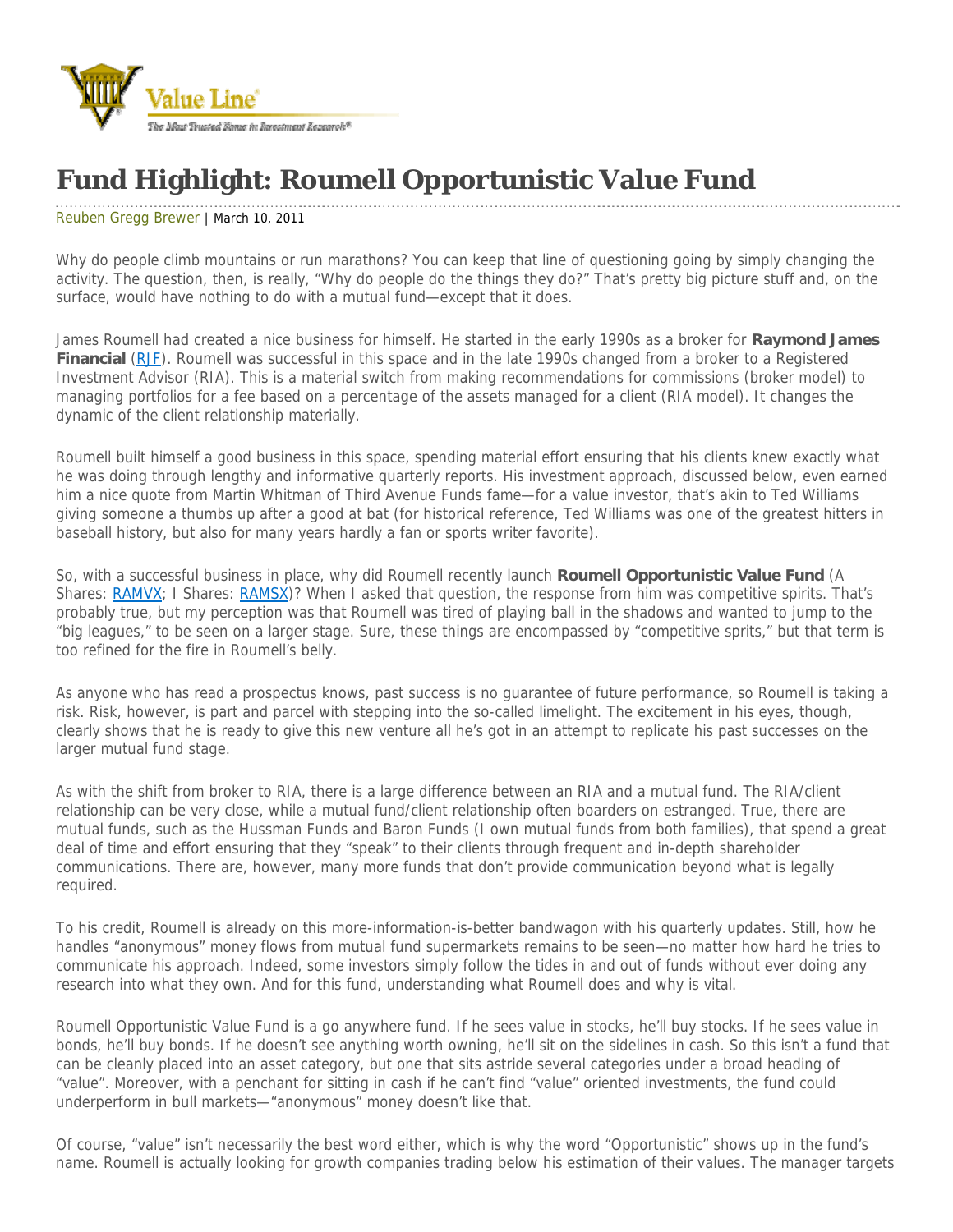

## **Fund Highlight: Roumell Opportunistic Value Fund**

## Reuben Gregg Brewer | March 10, 2011

Why do people climb mountains or run marathons? You can keep that line of questioning going by simply changing the activity. The question, then, is really, "Why do people do the things they do?" That's pretty big picture stuff and, on the surface, would have nothing to do with a mutual fund—except that it does.

James Roumell had created a nice business for himself. He started in the early 1990s as a broker for **Raymond James Financial** (RJF). Roumell was successful in this space and in the late 1990s changed from a broker to a Registered Investment Advisor (RIA). This is a material switch from making recommendations for commissions (broker model) to managing portfolios for a fee based on a percentage of the assets managed for a client (RIA model). It changes the dynamic of the client relationship materially.

Roumell built himself a good business in this space, spending material effort ensuring that his clients knew exactly what he was doing through lengthy and informative quarterly reports. His investment approach, discussed below, even earned him a nice quote from Martin Whitman of Third Avenue Funds fame—for a value investor, that's akin to Ted Williams giving someone a thumbs up after a good at bat (for historical reference, Ted Williams was one of the greatest hitters in baseball history, but also for many years hardly a fan or sports writer favorite).

So, with a successful business in place, why did Roumell recently launch **Roumell Opportunistic Value Fund** (A Shares: RAMVX; I Shares: RAMSX)? When I asked that question, the response from him was competitive spirits. That's probably true, but my perception was that Roumell was tired of playing ball in the shadows and wanted to jump to the "big leagues," to be seen on a larger stage. Sure, these things are encompassed by "competitive sprits," but that term is too refined for the fire in Roumell's belly.

As anyone who has read a prospectus knows, past success is no guarantee of future performance, so Roumell is taking a risk. Risk, however, is part and parcel with stepping into the so-called limelight. The excitement in his eyes, though, clearly shows that he is ready to give this new venture all he's got in an attempt to replicate his past successes on the larger mutual fund stage.

As with the shift from broker to RIA, there is a large difference between an RIA and a mutual fund. The RIA/client relationship can be very close, while a mutual fund/client relationship often boarders on estranged. True, there are mutual funds, such as the Hussman Funds and Baron Funds (I own mutual funds from both families), that spend a great deal of time and effort ensuring that they "speak" to their clients through frequent and in-depth shareholder communications. There are, however, many more funds that don't provide communication beyond what is legally required.

To his credit, Roumell is already on this more-information-is-better bandwagon with his quarterly updates. Still, how he handles "anonymous" money flows from mutual fund supermarkets remains to be seen—no matter how hard he tries to communicate his approach. Indeed, some investors simply follow the tides in and out of funds without ever doing any research into what they own. And for this fund, understanding what Roumell does and why is vital.

Roumell Opportunistic Value Fund is a go anywhere fund. If he sees value in stocks, he'll buy stocks. If he sees value in bonds, he'll buy bonds. If he doesn't see anything worth owning, he'll sit on the sidelines in cash. So this isn't a fund that can be cleanly placed into an asset category, but one that sits astride several categories under a broad heading of "value". Moreover, with a penchant for sitting in cash if he can't find "value" oriented investments, the fund could underperform in bull markets—"anonymous" money doesn't like that.

Of course, "value" isn't necessarily the best word either, which is why the word "Opportunistic" shows up in the fund's name. Roumell is actually looking for growth companies trading below his estimation of their values. The manager targets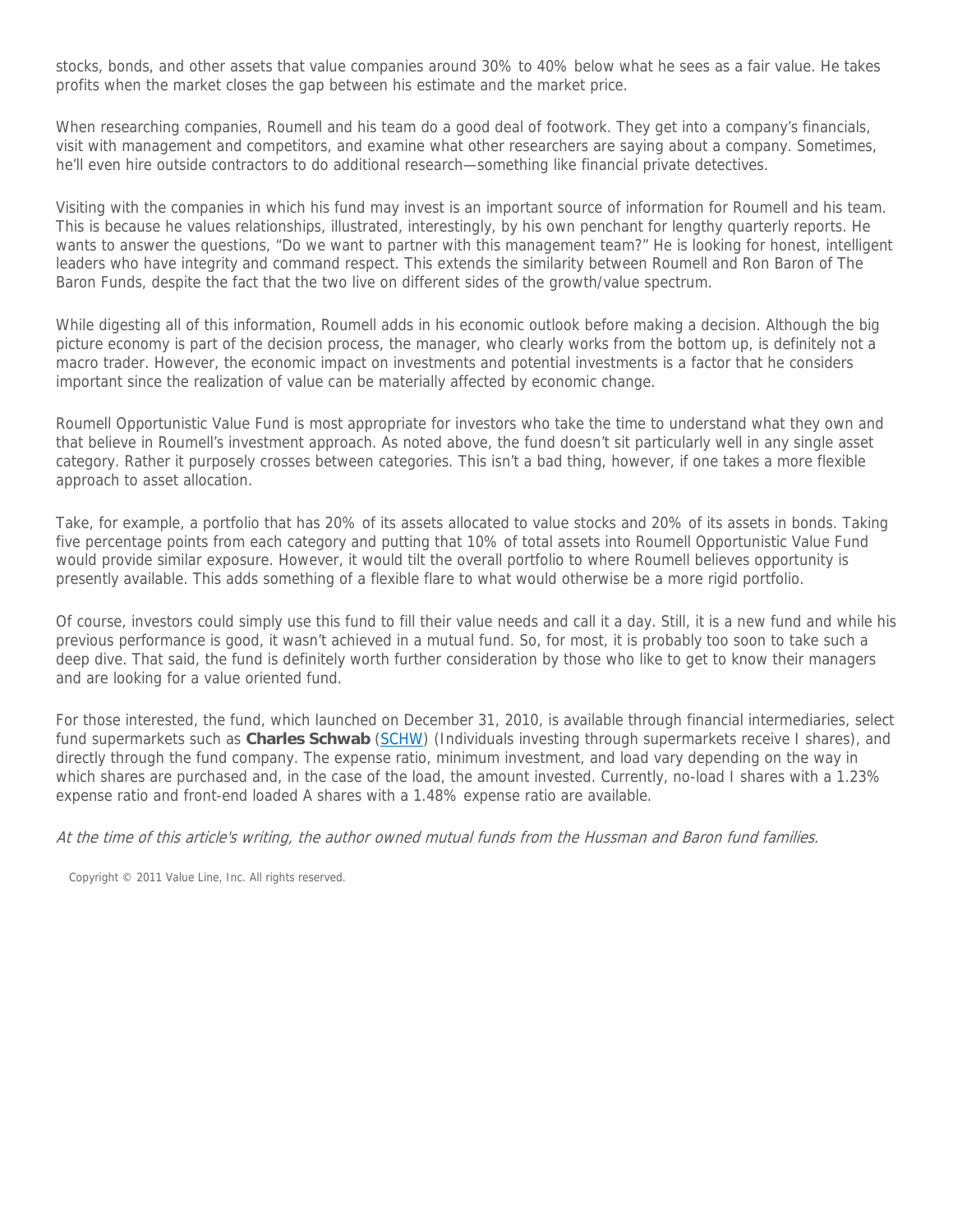stocks, bonds, and other assets that value companies around 30% to 40% below what he sees as a fair value. He takes profits when the market closes the gap between his estimate and the market price.

When researching companies, Roumell and his team do a good deal of footwork. They get into a company's financials, visit with management and competitors, and examine what other researchers are saying about a company. Sometimes, he'll even hire outside contractors to do additional research—something like financial private detectives.

Visiting with the companies in which his fund may invest is an important source of information for Roumell and his team. This is because he values relationships, illustrated, interestingly, by his own penchant for lengthy quarterly reports. He wants to answer the questions, "Do we want to partner with this management team?" He is looking for honest, intelligent leaders who have integrity and command respect. This extends the similarity between Roumell and Ron Baron of The Baron Funds, despite the fact that the two live on different sides of the growth/value spectrum.

While digesting all of this information, Roumell adds in his economic outlook before making a decision. Although the big picture economy is part of the decision process, the manager, who clearly works from the bottom up, is definitely not a macro trader. However, the economic impact on investments and potential investments is a factor that he considers important since the realization of value can be materially affected by economic change.

Roumell Opportunistic Value Fund is most appropriate for investors who take the time to understand what they own and that believe in Roumell's investment approach. As noted above, the fund doesn't sit particularly well in any single asset category. Rather it purposely crosses between categories. This isn't a bad thing, however, if one takes a more flexible approach to asset allocation.

Take, for example, a portfolio that has 20% of its assets allocated to value stocks and 20% of its assets in bonds. Taking five percentage points from each category and putting that 10% of total assets into Roumell Opportunistic Value Fund would provide similar exposure. However, it would tilt the overall portfolio to where Roumell believes opportunity is presently available. This adds something of a flexible flare to what would otherwise be a more rigid portfolio.

Of course, investors could simply use this fund to fill their value needs and call it a day. Still, it is a new fund and while his previous performance is good, it wasn't achieved in a mutual fund. So, for most, it is probably too soon to take such a deep dive. That said, the fund is definitely worth further consideration by those who like to get to know their managers and are looking for a value oriented fund.

For those interested, the fund, which launched on December 31, 2010, is available through financial intermediaries, select fund supermarkets such as **Charles Schwab** (SCHW) (Individuals investing through supermarkets receive I shares), and directly through the fund company. The expense ratio, minimum investment, and load vary depending on the way in which shares are purchased and, in the case of the load, the amount invested. Currently, no-load I shares with a 1.23% expense ratio and front-end loaded A shares with a 1.48% expense ratio are available.

At the time of this article's writing, the author owned mutual funds from the Hussman and Baron fund families.

Copyright © 2011 Value Line, Inc. All rights reserved.